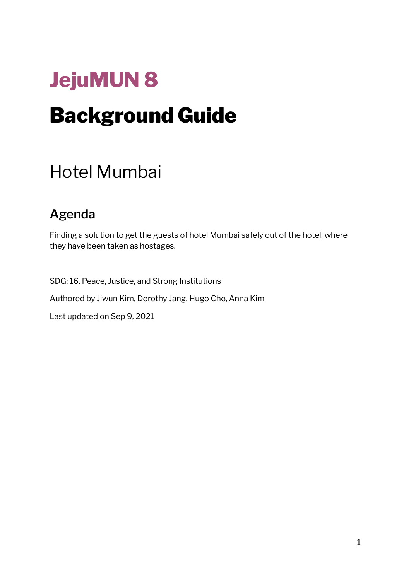# **JejuMUN 8** Background Guide

# Hotel Mumbai

# **Agenda**

Finding a solution to get the guests of hotel Mumbai safely out of the hotel, where they have been taken as hostages.

SDG: 16. Peace, Justice, and Strong Institutions Authored by Jiwun Kim, Dorothy Jang, Hugo Cho, Anna Kim Last updated on Sep 9, 2021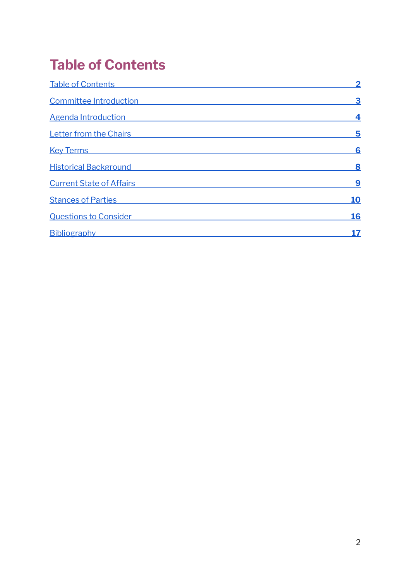# <span id="page-1-0"></span>**Table of Contents**

<span id="page-1-1"></span>

| <b>Table of Contents</b>        |            |
|---------------------------------|------------|
| <b>Committee Introduction</b>   | 3          |
| <b>Agenda Introduction</b>      | 4          |
| <b>Letter from the Chairs</b>   | 5          |
| <b>Key Terms</b>                | 6          |
| <b>Historical Background</b>    | 8          |
| <b>Current State of Affairs</b> | 9          |
| <b>Stances of Parties</b>       | <b>10</b>  |
| <b>Questions to Consider</b>    | <b>16</b>  |
| Bibliography                    | <u> 17</u> |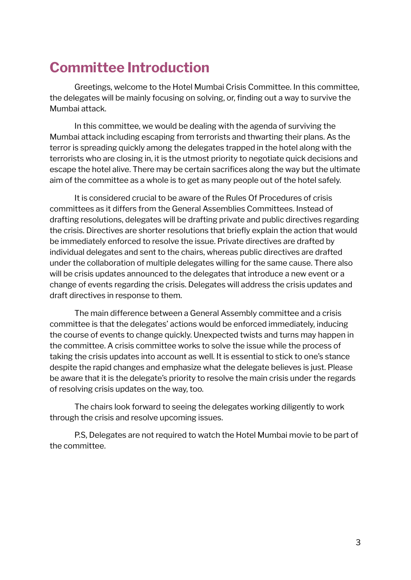# **Committee Introduction**

Greetings, welcome to the Hotel Mumbai Crisis Committee. In this committee, the delegates will be mainly focusing on solving, or, finding out a way to survive the Mumbai attack.

In this committee, we would be dealing with the agenda of surviving the Mumbai attack including escaping from terrorists and thwarting their plans. As the terror is spreading quickly among the delegates trapped in the hotel along with the terrorists who are closing in, it is the utmost priority to negotiate quick decisions and escape the hotel alive. There may be certain sacrifices along the way but the ultimate aim of the committee as a whole is to get as many people out of the hotel safely.

It is considered crucial to be aware of the Rules Of Procedures of crisis committees as it differs from the General Assemblies Committees. Instead of drafting resolutions, delegates will be drafting private and public directives regarding the crisis. Directives are shorter resolutions that briefly explain the action that would be immediately enforced to resolve the issue. Private directives are drafted by individual delegates and sent to the chairs, whereas public directives are drafted under the collaboration of multiple delegates willing for the same cause. There also will be crisis updates announced to the delegates that introduce a new event or a change of events regarding the crisis. Delegates will address the crisis updates and draft directives in response to them.

The main difference between a General Assembly committee and a crisis committee is that the delegates' actions would be enforced immediately, inducing the course of events to change quickly. Unexpected twists and turns may happen in the committee. A crisis committee works to solve the issue while the process of taking the crisis updates into account as well. It is essential to stick to one's stance despite the rapid changes and emphasize what the delegate believes is just. Please be aware that it is the delegate's priority to resolve the main crisis under the regards of resolving crisis updates on the way, too.

The chairs look forward to seeing the delegates working diligently to work through the crisis and resolve upcoming issues.

P.S, Delegates are not required to watch the Hotel Mumbai movie to be part of the committee.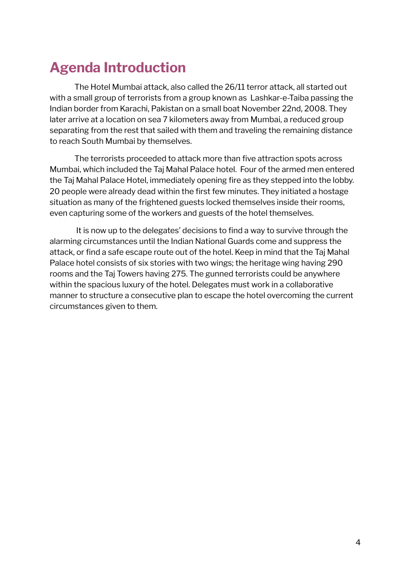# **Agenda Introduction**

The Hotel Mumbai attack, also called the 26/11 terror attack, all started out with a small group of terrorists from a group known as Lashkar-e-Taiba passing the Indian border from Karachi, Pakistan on a small boat November 22nd, 2008. They later arrive at a location on sea 7 kilometers away from Mumbai, a reduced group separating from the rest that sailed with them and traveling the remaining distance to reach South Mumbai by themselves.

The terrorists proceeded to attack more than five attraction spots across Mumbai, which included the Taj Mahal Palace hotel. Four of the armed men entered the Taj Mahal Palace Hotel, immediately opening fire as they stepped into the lobby. 20 people were already dead within the first few minutes. They initiated a hostage situation as many of the frightened guests locked themselves inside their rooms, even capturing some of the workers and guests of the hotel themselves.

It is now up to the delegates' decisions to find a way to survive through the alarming circumstances until the Indian National Guards come and suppress the attack, or find a safe escape route out of the hotel. Keep in mind that the Taj Mahal Palace hotel consists of six stories with two wings; the heritage wing having 290 rooms and the Taj Towers having 275. The gunned terrorists could be anywhere within the spacious luxury of the hotel. Delegates must work in a collaborative manner to structure a consecutive plan to escape the hotel overcoming the current circumstances given to them.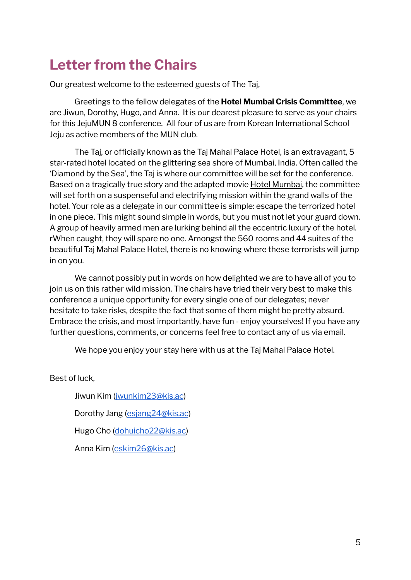# <span id="page-4-0"></span>**Letter from the Chairs**

Our greatest welcome to the esteemed guests of The Taj,

Greetings to the fellow delegates of the **Hotel Mumbai Crisis Committee**, we are Jiwun, Dorothy, Hugo, and Anna. It is our dearest pleasure to serve as your chairs for this JejuMUN 8 conference. All four of us are from Korean International School Jeju as active members of the MUN club.

The Taj, or officially known as the Taj Mahal Palace Hotel, is an extravagant, 5 star-rated hotel located on the glittering sea shore of Mumbai, India. Often called the 'Diamond by the Sea', the Taj is where our committee will be set for the conference. Based on a tragically true story and the adapted movie Hotel Mumbai, the committee will set forth on a suspenseful and electrifying mission within the grand walls of the hotel. Your role as a delegate in our committee is simple: escape the terrorized hotel in one piece. This might sound simple in words, but you must not let your guard down. A group of heavily armed men are lurking behind all the eccentric luxury of the hotel. rWhen caught, they will spare no one. Amongst the 560 rooms and 44 suites of the beautiful Taj Mahal Palace Hotel, there is no knowing where these terrorists will jump in on you.

We cannot possibly put in words on how delighted we are to have all of you to join us on this rather wild mission. The chairs have tried their very best to make this conference a unique opportunity for every single one of our delegates; never hesitate to take risks, despite the fact that some of them might be pretty absurd. Embrace the crisis, and most importantly, have fun - enjoy yourselves! If you have any further questions, comments, or concerns feel free to contact any of us via email.

We hope you enjoy your stay here with us at the Taj Mahal Palace Hotel.

Best of luck,

Jiwun Kim ([jwunkim23@kis.ac](mailto:jwunkim23@kis.ac))

Dorothy Jang [\(esjang24@kis.ac](mailto:esjang24@kis.ac))

Hugo Cho ([dohuicho22@kis.ac\)](mailto:dohuicho22@kis.ac)

Anna Kim ([eskim26@kis.ac\)](mailto:eskim26@kis.ac)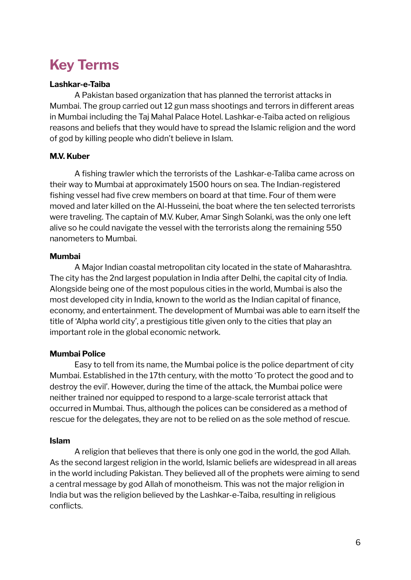# <span id="page-5-0"></span>**Key Terms**

### **Lashkar-e-Taiba**

A Pakistan based organization that has planned the terrorist attacks in Mumbai. The group carried out 12 gun mass shootings and terrors in different areas in Mumbai including the Taj Mahal Palace Hotel. Lashkar-e-Taiba acted on religious reasons and beliefs that they would have to spread the Islamic religion and the word of god by killing people who didn't believe in Islam.

#### **M.V. Kuber**

A fishing trawler which the terrorists of the Lashkar-e-Taliba came across on their way to Mumbai at approximately 1500 hours on sea. The Indian-registered fishing vessel had five crew members on board at that time. Four of them were moved and later killed on the Al-Husseini, the boat where the ten selected terrorists were traveling. The captain of M.V. Kuber, Amar Singh Solanki, was the only one left alive so he could navigate the vessel with the terrorists along the remaining 550 nanometers to Mumbai.

#### **Mumbai**

A Major Indian coastal metropolitan city located in the state of Maharashtra. The city has the 2nd largest population in India after Delhi, the capital city of India. Alongside being one of the most populous cities in the world, Mumbai is also the most developed city in India, known to the world as the Indian capital of finance, economy, and entertainment. The development of Mumbai was able to earn itself the title of 'Alpha world city', a prestigious title given only to the cities that play an important role in the global economic network.

### **Mumbai Police**

Easy to tell from its name, the Mumbai police is the police department of city Mumbai. Established in the 17th century, with the motto 'To protect the good and to destroy the evil'. However, during the time of the attack, the Mumbai police were neither trained nor equipped to respond to a large-scale terrorist attack that occurred in Mumbai. Thus, although the polices can be considered as a method of rescue for the delegates, they are not to be relied on as the sole method of rescue.

#### **Islam**

A religion that believes that there is only one god in the world, the god Allah. As the second largest religion in the world, Islamic beliefs are widespread in all areas in the world including Pakistan. They believed all of the prophets were aiming to send a central message by god Allah of monotheism. This was not the major religion in India but was the religion believed by the Lashkar-e-Taiba, resulting in religious conflicts.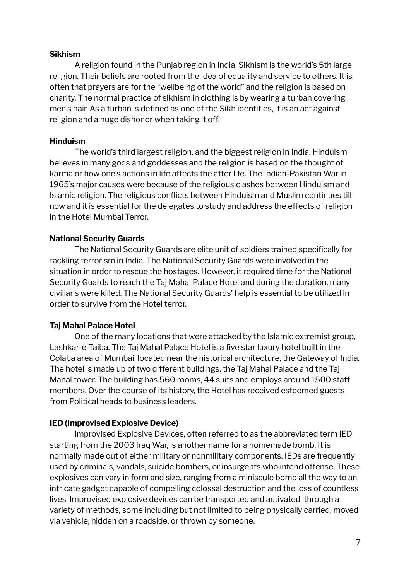#### **Sikhism**

A religion found in the Punjab region in India. Sikhism is the world's 5th large religion. Their beliefs are rooted from the idea of equality and service to others. It is often that prayers are for the "wellbeing of the world" and the religion is based on charity. The normal practice of sikhism in clothing is by wearing a turban covering men's hair. As a turban is defined as one of the Sikh identities, it is an act against religion and a huge dishonor when taking it off.

#### **Hinduism**

The world's third largest religion, and the biggest religion in India. Hinduism believes in many gods and goddesses and the religion is based on the thought of karma or how one's actions in life affects the after life. The Indian-Pakistan War in 1965's major causes were because of the religious clashes between Hinduism and Islamic religion. The religious conflicts between Hinduism and Muslim continues till now and it is essential for the delegates to study and address the effects of religion in the Hotel Mumbai Terror.

#### **National Security Guards**

The National Security Guards are elite unit of soldiers trained specifically for tackling terrorism in India. The National Security Guards were involved in the situation in order to rescue the hostages. However, it required time for the National Security Guards to reach the Taj Mahal Palace Hotel and during the duration, many civilians were killed. The National Security Guards' help is essential to be utilized in order to survive from the Hotel terror.

#### **Taj Mahal Palace Hotel**

One of the many locations that were attacked by the Islamic extremist group, Lashkar-e-Taiba. The Taj Mahal Palace Hotel is a five star luxury hotel built in the Colaba area of Mumbai, located near the historical architecture, the Gateway of India. The hotel is made up of two different buildings, the Taj Mahal Palace and the Taj Mahal tower. The building has 560 rooms, 44 suits and employs around 1500 staff members. Over the course of its history, the Hotel has received esteemed guests from Political heads to business leaders.

#### **IED (Improvised Explosive Device)**

Improvised Explosive Devices, often referred to as the abbreviated term IED starting from the 2003 Iraq War, is another name for a homemade bomb. It is normally made out of either military or nonmilitary components. IEDs are frequently used by criminals, vandals, suicide bombers, or insurgents who intend offense. These explosives can vary in form and size, ranging from a miniscule bomb all the way to an intricate gadget capable of compelling colossal destruction and the loss of countless lives. Improvised explosive devices can be transported and activated through a variety of methods, some including but not limited to being physically carried, moved via vehicle, hidden on a roadside, or thrown by someone.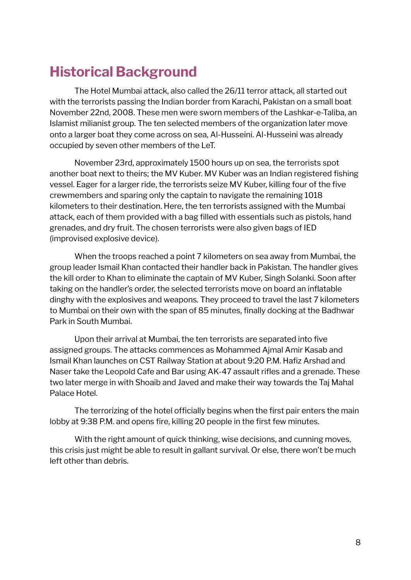# <span id="page-7-0"></span>**Historical Background**

The Hotel Mumbai attack, also called the 26/11 terror attack, all started out with the terrorists passing the Indian border from Karachi, Pakistan on a small boat November 22nd, 2008. These men were sworn members of the Lashkar-e-Taliba, an Islamist milianist group. The ten selected members of the organization later move onto a larger boat they come across on sea, Al-Husseini. Al-Husseini was already occupied by seven other members of the LeT.

November 23rd, approximately 1500 hours up on sea, the terrorists spot another boat next to theirs; the MV Kuber. MV Kuber was an Indian registered fishing vessel. Eager for a larger ride, the terrorists seize MV Kuber, killing four of the five crewmembers and sparing only the captain to navigate the remaining 1018 kilometers to their destination. Here, the ten terrorists assigned with the Mumbai attack, each of them provided with a bag filled with essentials such as pistols, hand grenades, and dry fruit. The chosen terrorists were also given bags of IED (improvised explosive device).

When the troops reached a point 7 kilometers on sea away from Mumbai, the group leader Ismail Khan contacted their handler back in Pakistan. The handler gives the kill order to Khan to eliminate the captain of MV Kuber, Singh Solanki. Soon after taking on the handler's order, the selected terrorists move on board an inflatable dinghy with the explosives and weapons. They proceed to travel the last 7 kilometers to Mumbai on their own with the span of 85 minutes, finally docking at the Badhwar Park in South Mumbai.

Upon their arrival at Mumbai, the ten terrorists are separated into five assigned groups. The attacks commences as Mohammed Ajmal Amir Kasab and Ismail Khan launches on CST Railway Station at about 9:20 P.M. Hafiz Arshad and Naser take the Leopold Cafe and Bar using AK-47 assault rifles and a grenade. These two later merge in with Shoaib and Javed and make their way towards the Taj Mahal Palace Hotel.

The terrorizing of the hotel officially begins when the first pair enters the main lobby at 9:38 P.M. and opens fire, killing 20 people in the first few minutes.

With the right amount of quick thinking, wise decisions, and cunning moves, this crisis just might be able to result in gallant survival. Or else, there won't be much left other than debris.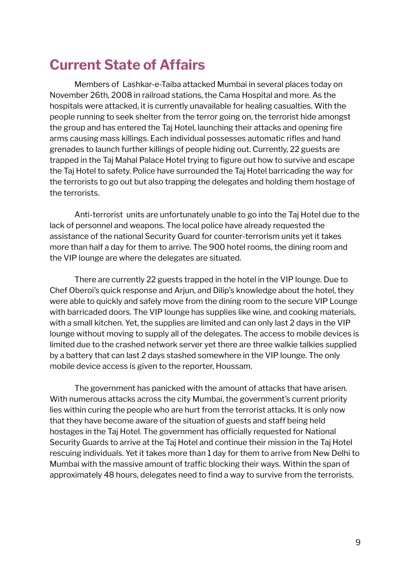# <span id="page-8-0"></span>**Current State of Affairs**

Members of Lashkar-e-Taiba attacked Mumbai in several places today on November 26th, 2008 in railroad stations, the Cama Hospital and more. As the hospitals were attacked, it is currently unavailable for healing casualties. With the people running to seek shelter from the terror going on, the terrorist hide amongst the group and has entered the Taj Hotel, launching their attacks and opening fire arms causing mass killings. Each individual possesses automatic rifles and hand grenades to launch further killings of people hiding out. Currently, 22 guests are trapped in the Taj Mahal Palace Hotel trying to figure out how to survive and escape the Taj Hotel to safety. Police have surrounded the Taj Hotel barricading the way for the terrorists to go out but also trapping the delegates and holding them hostage of the terrorists.

Anti-terrorist units are unfortunately unable to go into the Taj Hotel due to the lack of personnel and weapons. The local police have already requested the assistance of the national Security Guard for counter-terrorism units yet it takes more than half a day for them to arrive. The 900 hotel rooms, the dining room and the VIP lounge are where the delegates are situated.

There are currently 22 guests trapped in the hotel in the VIP lounge. Due to Chef Oberoi's quick response and Arjun, and Dilip's knowledge about the hotel, they were able to quickly and safely move from the dining room to the secure VIP Lounge with barricaded doors. The VIP lounge has supplies like wine, and cooking materials, with a small kitchen. Yet, the supplies are limited and can only last 2 days in the VIP lounge without moving to supply all of the delegates. The access to mobile devices is limited due to the crashed network server yet there are three walkie talkies supplied by a battery that can last 2 days stashed somewhere in the VIP lounge. The only mobile device access is given to the reporter, Houssam.

The government has panicked with the amount of attacks that have arisen. With numerous attacks across the city Mumbai, the government's current priority lies within curing the people who are hurt from the terrorist attacks. It is only now that they have become aware of the situation of guests and staff being held hostages in the Taj Hotel. The government has officially requested for National Security Guards to arrive at the Taj Hotel and continue their mission in the Taj Hotel rescuing individuals. Yet it takes more than 1 day for them to arrive from New Delhi to Mumbai with the massive amount of traffic blocking their ways. Within the span of approximately 48 hours, delegates need to find a way to survive from the terrorists.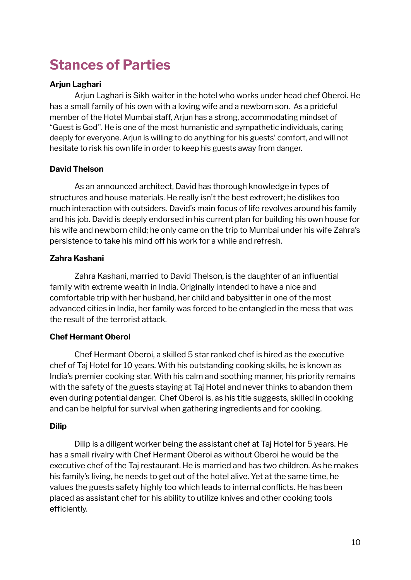# <span id="page-9-0"></span>**Stances of Parties**

### **Arjun Laghari**

Arjun Laghari is Sikh waiter in the hotel who works under head chef Oberoi. He has a small family of his own with a loving wife and a newborn son. As a prideful member of the Hotel Mumbai staff, Arjun has a strong, accommodating mindset of "Guest is God''. He is one of the most humanistic and sympathetic individuals, caring deeply for everyone. Arjun is willing to do anything for his guests' comfort, and will not hesitate to risk his own life in order to keep his guests away from danger.

### **David Thelson**

As an announced architect, David has thorough knowledge in types of structures and house materials. He really isn't the best extrovert; he dislikes too much interaction with outsiders. David's main focus of life revolves around his family and his job. David is deeply endorsed in his current plan for building his own house for his wife and newborn child; he only came on the trip to Mumbai under his wife Zahra's persistence to take his mind off his work for a while and refresh.

### **Zahra Kashani**

Zahra Kashani, married to David Thelson, is the daughter of an influential family with extreme wealth in India. Originally intended to have a nice and comfortable trip with her husband, her child and babysitter in one of the most advanced cities in India, her family was forced to be entangled in the mess that was the result of the terrorist attack.

# **Chef Hermant Oberoi**

Chef Hermant Oberoi, a skilled 5 star ranked chef is hired as the executive chef of Taj Hotel for 10 years. With his outstanding cooking skills, he is known as India's premier cooking star. With his calm and soothing manner, his priority remains with the safety of the guests staying at Taj Hotel and never thinks to abandon them even during potential danger. Chef Oberoi is, as his title suggests, skilled in cooking and can be helpful for survival when gathering ingredients and for cooking.

### **Dilip**

Dilip is a diligent worker being the assistant chef at Taj Hotel for 5 years. He has a small rivalry with Chef Hermant Oberoi as without Oberoi he would be the executive chef of the Taj restaurant. He is married and has two children. As he makes his family's living, he needs to get out of the hotel alive. Yet at the same time, he values the guests safety highly too which leads to internal conflicts. He has been placed as assistant chef for his ability to utilize knives and other cooking tools efficiently.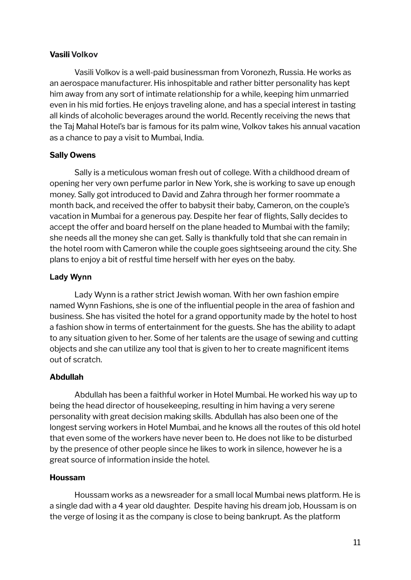#### **Vasili Volkov**

Vasili Volkov is a well-paid businessman from Voronezh, Russia. He works as an aerospace manufacturer. His inhospitable and rather bitter personality has kept him away from any sort of intimate relationship for a while, keeping him unmarried even in his mid forties. He enjoys traveling alone, and has a special interest in tasting all kinds of alcoholic beverages around the world. Recently receiving the news that the Taj Mahal Hotel's bar is famous for its palm wine, Volkov takes his annual vacation as a chance to pay a visit to Mumbai, India.

### **Sally Owens**

Sally is a meticulous woman fresh out of college. With a childhood dream of opening her very own perfume parlor in New York, she is working to save up enough money. Sally got introduced to David and Zahra through her former roommate a month back, and received the offer to babysit their baby, Cameron, on the couple's vacation in Mumbai for a generous pay. Despite her fear of flights, Sally decides to accept the offer and board herself on the plane headed to Mumbai with the family; she needs all the money she can get. Sally is thankfully told that she can remain in the hotel room with Cameron while the couple goes sightseeing around the city. She plans to enjoy a bit of restful time herself with her eyes on the baby.

#### **Lady Wynn**

Lady Wynn is a rather strict Jewish woman. With her own fashion empire named Wynn Fashions, she is one of the influential people in the area of fashion and business. She has visited the hotel for a grand opportunity made by the hotel to host a fashion show in terms of entertainment for the guests. She has the ability to adapt to any situation given to her. Some of her talents are the usage of sewing and cutting objects and she can utilize any tool that is given to her to create magnificent items out of scratch.

#### **Abdullah**

Abdullah has been a faithful worker in Hotel Mumbai. He worked his way up to being the head director of housekeeping, resulting in him having a very serene personality with great decision making skills. Abdullah has also been one of the longest serving workers in Hotel Mumbai, and he knows all the routes of this old hotel that even some of the workers have never been to. He does not like to be disturbed by the presence of other people since he likes to work in silence, however he is a great source of information inside the hotel.

#### **Houssam**

Houssam works as a newsreader for a small local Mumbai news platform. He is a single dad with a 4 year old daughter. Despite having his dream job, Houssam is on the verge of losing it as the company is close to being bankrupt. As the platform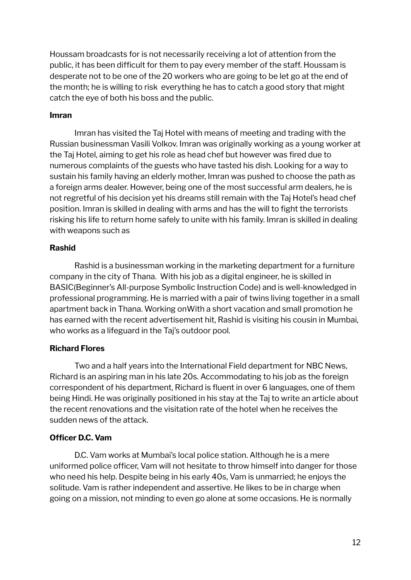Houssam broadcasts for is not necessarily receiving a lot of attention from the public, it has been difficult for them to pay every member of the staff. Houssam is desperate not to be one of the 20 workers who are going to be let go at the end of the month; he is willing to risk everything he has to catch a good story that might catch the eye of both his boss and the public.

#### **Imran**

Imran has visited the Taj Hotel with means of meeting and trading with the Russian businessman Vasili Volkov. Imran was originally working as a young worker at the Taj Hotel, aiming to get his role as head chef but however was fired due to numerous complaints of the guests who have tasted his dish. Looking for a way to sustain his family having an elderly mother, Imran was pushed to choose the path as a foreign arms dealer. However, being one of the most successful arm dealers, he is not regretful of his decision yet his dreams still remain with the Taj Hotel's head chef position. Imran is skilled in dealing with arms and has the will to fight the terrorists risking his life to return home safely to unite with his family. Imran is skilled in dealing with weapons such as

#### **Rashid**

Rashid is a businessman working in the marketing department for a furniture company in the city of Thana. With his job as a digital engineer, he is skilled in BASIC(Beginner's All-purpose Symbolic Instruction Code) and is well-knowledged in professional programming. He is married with a pair of twins living together in a small apartment back in Thana. Working onWith a short vacation and small promotion he has earned with the recent advertisement hit, Rashid is visiting his cousin in Mumbai, who works as a lifeguard in the Taj's outdoor pool.

#### **Richard Flores**

Two and a half years into the International Field department for NBC News, Richard is an aspiring man in his late 20s. Accommodating to his job as the foreign correspondent of his department, Richard is fluent in over 6 languages, one of them being Hindi. He was originally positioned in his stay at the Taj to write an article about the recent renovations and the visitation rate of the hotel when he receives the sudden news of the attack.

#### **Officer D.C. Vam**

D.C. Vam works at Mumbai's local police station. Although he is a mere uniformed police officer, Vam will not hesitate to throw himself into danger for those who need his help. Despite being in his early 40s, Vam is unmarried; he enjoys the solitude. Vam is rather independent and assertive. He likes to be in charge when going on a mission, not minding to even go alone at some occasions. He is normally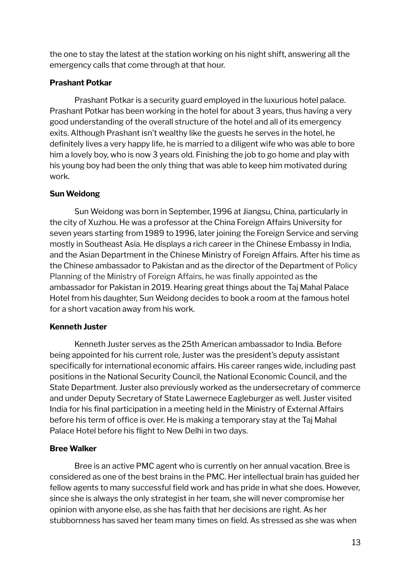the one to stay the latest at the station working on his night shift, answering all the emergency calls that come through at that hour.

### **Prashant Potkar**

Prashant Potkar is a security guard employed in the luxurious hotel palace. Prashant Potkar has been working in the hotel for about 3 years, thus having a very good understanding of the overall structure of the hotel and all of its emergency exits. Although Prashant isn't wealthy like the guests he serves in the hotel, he definitely lives a very happy life, he is married to a diligent wife who was able to bore him a lovely boy, who is now 3 years old. Finishing the job to go home and play with his young boy had been the only thing that was able to keep him motivated during work.

# **Sun Weidong**

Sun Weidong was born in September, 1996 at Jiangsu, China, particularly in the city of Xuzhou. He was a professor at the China Foreign Affairs University for seven years starting from 1989 to 1996, later joining the Foreign Service and serving mostly in Southeast Asia. He displays a rich career in the Chinese Embassy in India, and the Asian Department in the Chinese Ministry of Foreign Affairs. After his time as the Chinese ambassador to Pakistan and as the director of the Department of Policy Planning of the Ministry of Foreign Affairs, he was finally appointed as the ambassador for Pakistan in 2019. Hearing great things about the Taj Mahal Palace Hotel from his daughter, Sun Weidong decides to book a room at the famous hotel for a short vacation away from his work.

# **Kenneth Juster**

Kenneth Juster serves as the 25th American ambassador to India. Before being appointed for his current role, Juster was the president's deputy assistant specifically for international economic affairs. His career ranges wide, including past positions in the National Security Council, the National Economic Council, and the State Department. Juster also previously worked as the undersecretary of commerce and under Deputy Secretary of State Lawernece Eagleburger as well. Juster visited India for his final participation in a meeting held in the Ministry of External Affairs before his term of office is over. He is making a temporary stay at the Taj Mahal Palace Hotel before his flight to New Delhi in two days.

# **Bree Walker**

Bree is an active PMC agent who is currently on her annual vacation. Bree is considered as one of the best brains in the PMC. Her intellectual brain has guided her fellow agents to many successful field work and has pride in what she does. However, since she is always the only strategist in her team, she will never compromise her opinion with anyone else, as she has faith that her decisions are right. As her stubbornness has saved her team many times on field. As stressed as she was when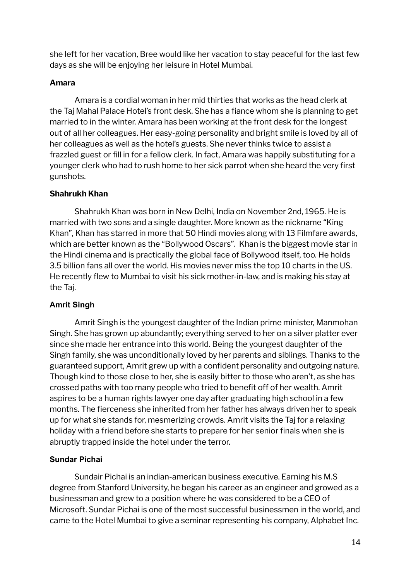she left for her vacation, Bree would like her vacation to stay peaceful for the last few days as she will be enjoying her leisure in Hotel Mumbai.

### **Amara**

Amara is a cordial woman in her mid thirties that works as the head clerk at the Taj Mahal Palace Hotel's front desk. She has a fiance whom she is planning to get married to in the winter. Amara has been working at the front desk for the longest out of all her colleagues. Her easy-going personality and bright smile is loved by all of her colleagues as well as the hotel's guests. She never thinks twice to assist a frazzled guest or fill in for a fellow clerk. In fact, Amara was happily substituting for a younger clerk who had to rush home to her sick parrot when she heard the very first gunshots.

### **Shahrukh Khan**

Shahrukh Khan was born in New Delhi, India on November 2nd, 1965. He is married with two sons and a single daughter. More known as the nickname "King Khan", Khan has starred in more that 50 Hindi movies along with 13 Filmfare awards, which are better known as the "Bollywood Oscars". Khan is the biggest movie star in the Hindi cinema and is practically the global face of Bollywood itself, too. He holds 3.5 billion fans all over the world. His movies never miss the top 10 charts in the US. He recently flew to Mumbai to visit his sick mother-in-law, and is making his stay at the Taj.

### **Amrit Singh**

Amrit Singh is the youngest daughter of the Indian prime minister, Manmohan Singh. She has grown up abundantly; everything served to her on a silver platter ever since she made her entrance into this world. Being the youngest daughter of the Singh family, she was unconditionally loved by her parents and siblings. Thanks to the guaranteed support, Amrit grew up with a confident personality and outgoing nature. Though kind to those close to her, she is easily bitter to those who aren't, as she has crossed paths with too many people who tried to benefit off of her wealth. Amrit aspires to be a human rights lawyer one day after graduating high school in a few months. The fierceness she inherited from her father has always driven her to speak up for what she stands for, mesmerizing crowds. Amrit visits the Taj for a relaxing holiday with a friend before she starts to prepare for her senior finals when she is abruptly trapped inside the hotel under the terror.

### **Sundar Pichai**

Sundair Pichai is an indian-american business executive. Earning his M.S degree from Stanford University, he began his career as an engineer and growed as a businessman and grew to a position where he was considered to be a CEO of Microsoft. Sundar Pichai is one of the most successful businessmen in the world, and came to the Hotel Mumbai to give a seminar representing his company, Alphabet Inc.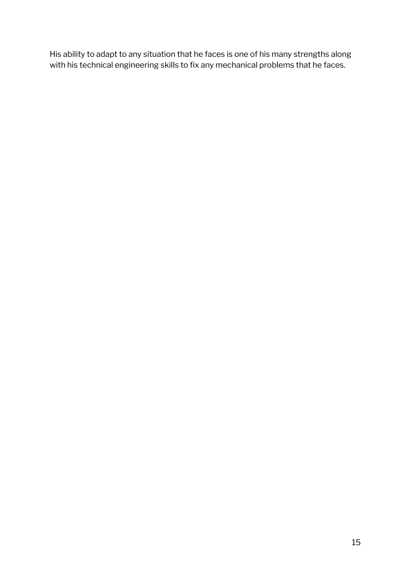His ability to adapt to any situation that he faces is one of his many strengths along with his technical engineering skills to fix any mechanical problems that he faces.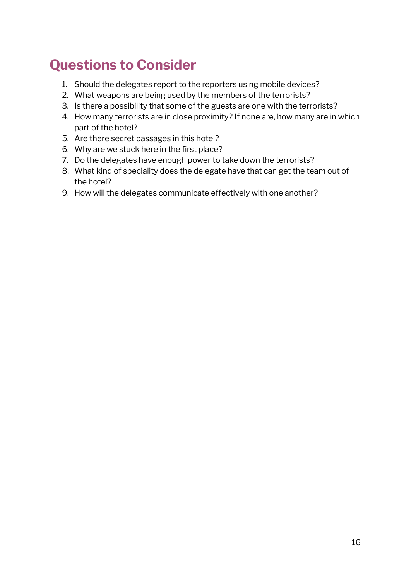# <span id="page-15-0"></span>**Questions to Consider**

- 1. Should the delegates report to the reporters using mobile devices?
- 2. What weapons are being used by the members of the terrorists?
- 3. Is there a possibility that some of the guests are one with the terrorists?
- 4. How many terrorists are in close proximity? If none are, how many are in which part of the hotel?
- 5. Are there secret passages in this hotel?
- 6. Why are we stuck here in the first place?
- 7. Do the delegates have enough power to take down the terrorists?
- 8. What kind of speciality does the delegate have that can get the team out of the hotel?
- 9. How will the delegates communicate effectively with one another?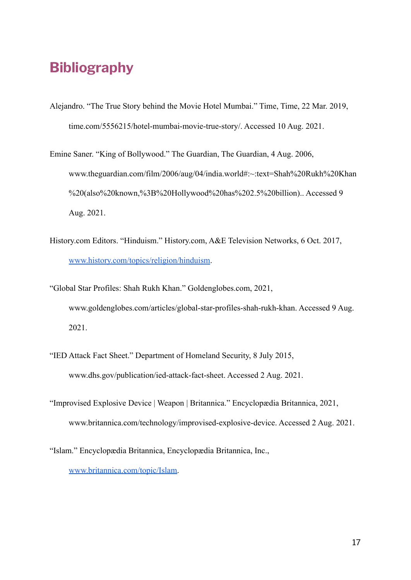# <span id="page-16-0"></span>**Bibliography**

- Alejandro. "The True Story behind the Movie Hotel Mumbai." Time, Time, 22 Mar. 2019, time.com/5556215/hotel-mumbai-movie-true-story/. Accessed 10 Aug. 2021.
- Emine Saner. "King of Bollywood." The Guardian, The Guardian, 4 Aug. 2006, www.theguardian.com/film/2006/aug/04/india.world#:~:text=Shah%20Rukh%20Khan %20(also%20known,%3B%20Hollywood%20has%202.5%20billion).. Accessed 9 Aug. 2021.
- History.com Editors. "Hinduism." History.com, A&E Television Networks, 6 Oct. 2017, [www.history.com/topics/religion/hinduism.](http://www.history.com/topics/religion/hinduism)
- "Global Star Profiles: Shah Rukh Khan." Goldenglobes.com, 2021, www.goldenglobes.com/articles/global-star-profiles-shah-rukh-khan. Accessed 9 Aug. 2021.
- "IED Attack Fact Sheet." Department of Homeland Security, 8 July 2015, www.dhs.gov/publication/ied-attack-fact-sheet. Accessed 2 Aug. 2021.
- "Improvised Explosive Device | Weapon | Britannica." Encyclopædia Britannica, 2021, www.britannica.com/technology/improvised-explosive-device. Accessed 2 Aug. 2021.

<sup>&</sup>quot;Islam." Encyclopædia Britannica, Encyclopædia Britannica, Inc., [www.britannica.com/topic/Islam.](http://www.britannica.com/topic/Islam)